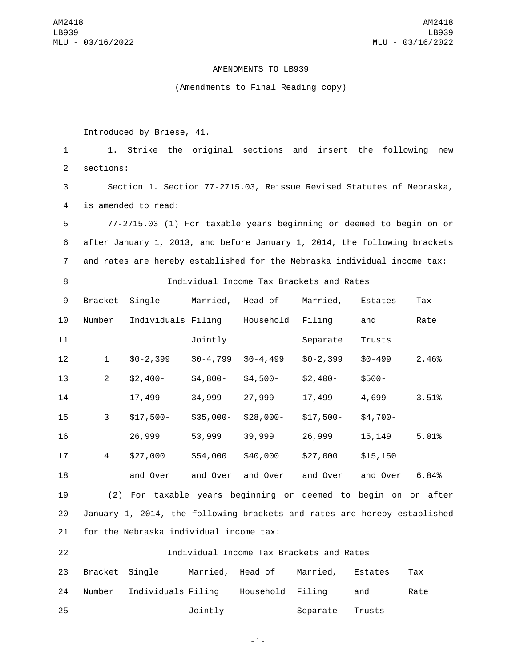AM2418 LB939 MLU - 03/16/2022

## AMENDMENTS TO LB939

## (Amendments to Final Reading copy)

Introduced by Briese, 41.

 1. Strike the original sections and insert the following new 2 sections: Section 1. Section 77-2715.03, Reissue Revised Statutes of Nebraska, 4 is amended to read: 77-2715.03 (1) For taxable years beginning or deemed to begin on or after January 1, 2013, and before January 1, 2014, the following brackets and rates are hereby established for the Nebraska individual income tax: Individual Income Tax Brackets and Rates 9 Bracket Single Married, Head of Married, Estates Tax 10 Number Individuals Filing Household Filing and Rate Jointly Separate Trusts

 \$0-2,399 \$0-4,799 \$0-4,499 \$0-2,399 \$0-499 2.46% \$2,400- \$4,800- \$4,500- \$2,400- \$500- 17,499 34,999 27,999 17,499 4,699 3.51% \$17,500- \$35,000- \$28,000- \$17,500- \$4,700- 26,999 53,999 39,999 26,999 15,149 5.01% \$27,000 \$54,000 \$40,000 \$27,000 \$15,150 and Over and Over and Over and Over and Over 6.84%

19 (2) For taxable years beginning or deemed to begin on or after 20 January 1, 2014, the following brackets and rates are hereby established 21 for the Nebraska individual income tax:

22 Individual Income Tax Brackets and Rates 23 Bracket Single Married, Head of Married, Estates Tax 24 Number Individuals Filing Household Filing and Rate 25 **120 Jointly** Separate Trusts

-1-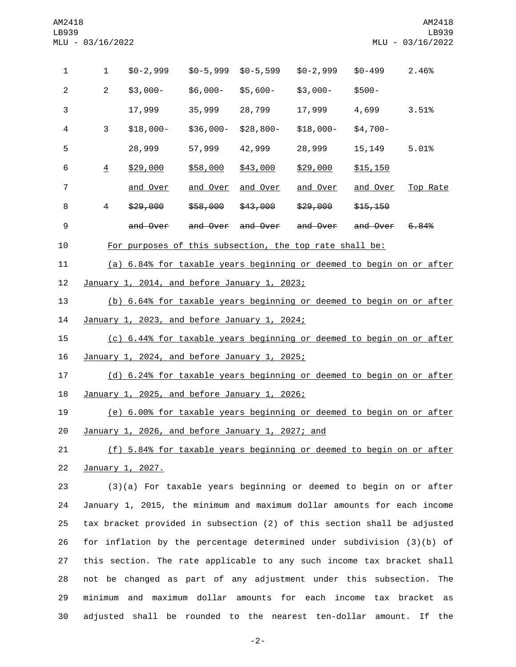| 1              | 1                                                                        | $$0-2,999$                                                              | $$0-5,999$      | $$0-5,599$      | $$0-2,999$          | $$0 - 499$      | 2.46%    |
|----------------|--------------------------------------------------------------------------|-------------------------------------------------------------------------|-----------------|-----------------|---------------------|-----------------|----------|
| $\overline{2}$ | $\overline{2}$                                                           | $$3,000-$                                                               | \$6,000-        | \$5,600-        | \$3,000-            | $$500-$         |          |
| 3              |                                                                          | 17,999                                                                  | 35,999          | 28,799          | 17,999              | 4,699           | 3.51%    |
| 4              | 3                                                                        | $$18,000-$                                                              | \$36,000-       | \$28,800-       | \$18,000-           | $$4,700-$       |          |
| 5              |                                                                          | 28,999                                                                  | 57,999          | 42,999          | 28,999              | 15,149          | 5.01%    |
| 6              | $\overline{4}$                                                           | \$29,000                                                                | \$58,000        | \$43,000        | <u>\$29,000</u>     | \$15,150        |          |
| $\overline{7}$ |                                                                          | and Over                                                                | <u>and Over</u> | <u>and Over</u> | <u>and Over</u>     | <u>and Over</u> | Top Rate |
| 8              | 4                                                                        | \$29,000                                                                | \$58,000        | \$43,000        | <del>\$29,000</del> | \$15,150        |          |
| 9              |                                                                          | and Over                                                                | and Over        | and Over        | <del>and Over</del> | and Over        | 6.84%    |
| 10             |                                                                          | For purposes of this subsection, the top rate shall be:                 |                 |                 |                     |                 |          |
| 11             |                                                                          | (a) 6.84% for taxable years beginning or deemed to begin on or after    |                 |                 |                     |                 |          |
| 12             | January 1, 2014, and before January 1, 2023;                             |                                                                         |                 |                 |                     |                 |          |
| 13             | (b) 6.64% for taxable years beginning or deemed to begin on or after     |                                                                         |                 |                 |                     |                 |          |
| 14             | January 1, 2023, and before January 1, 2024;                             |                                                                         |                 |                 |                     |                 |          |
| 15             | (c) 6.44% for taxable years beginning or deemed to begin on or after     |                                                                         |                 |                 |                     |                 |          |
| 16             | January 1, 2024, and before January 1, 2025;                             |                                                                         |                 |                 |                     |                 |          |
| 17             | (d) 6.24% for taxable years beginning or deemed to begin on or after     |                                                                         |                 |                 |                     |                 |          |
| 18             | January 1, 2025, and before January 1, 2026;                             |                                                                         |                 |                 |                     |                 |          |
| 19             | (e) 6.00% for taxable years beginning or deemed to begin on or after     |                                                                         |                 |                 |                     |                 |          |
| 20             | January 1, 2026, and before January 1, 2027; and                         |                                                                         |                 |                 |                     |                 |          |
| 21             | (f) 5.84% for taxable years beginning or deemed to begin on or after     |                                                                         |                 |                 |                     |                 |          |
| 22             | January 1, 2027.                                                         |                                                                         |                 |                 |                     |                 |          |
| 23             |                                                                          | (3)(a) For taxable years beginning or deemed to begin on or after       |                 |                 |                     |                 |          |
| 24             |                                                                          | January 1, 2015, the minimum and maximum dollar amounts for each income |                 |                 |                     |                 |          |
| 25             | tax bracket provided in subsection (2) of this section shall be adjusted |                                                                         |                 |                 |                     |                 |          |
| 26             |                                                                          | for inflation by the percentage determined under subdivision (3)(b) of  |                 |                 |                     |                 |          |
| 27             | this section. The rate applicable to any such income tax bracket shall   |                                                                         |                 |                 |                     |                 |          |
| 28             |                                                                          | not be changed as part of any adjustment under this subsection. The     |                 |                 |                     |                 |          |

 minimum and maximum dollar amounts for each income tax bracket as adjusted shall be rounded to the nearest ten-dollar amount. If the

-2-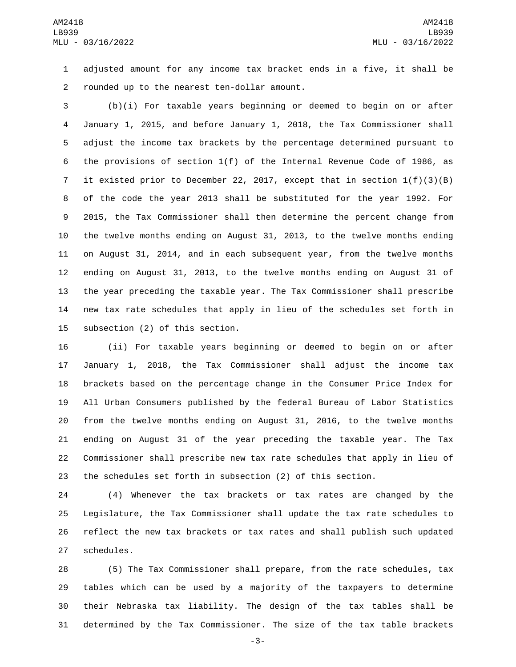adjusted amount for any income tax bracket ends in a five, it shall be 2 rounded up to the nearest ten-dollar amount.

 (b)(i) For taxable years beginning or deemed to begin on or after January 1, 2015, and before January 1, 2018, the Tax Commissioner shall adjust the income tax brackets by the percentage determined pursuant to the provisions of section 1(f) of the Internal Revenue Code of 1986, as it existed prior to December 22, 2017, except that in section 1(f)(3)(B) of the code the year 2013 shall be substituted for the year 1992. For 2015, the Tax Commissioner shall then determine the percent change from the twelve months ending on August 31, 2013, to the twelve months ending on August 31, 2014, and in each subsequent year, from the twelve months ending on August 31, 2013, to the twelve months ending on August 31 of the year preceding the taxable year. The Tax Commissioner shall prescribe new tax rate schedules that apply in lieu of the schedules set forth in 15 subsection (2) of this section.

 (ii) For taxable years beginning or deemed to begin on or after January 1, 2018, the Tax Commissioner shall adjust the income tax brackets based on the percentage change in the Consumer Price Index for All Urban Consumers published by the federal Bureau of Labor Statistics from the twelve months ending on August 31, 2016, to the twelve months ending on August 31 of the year preceding the taxable year. The Tax Commissioner shall prescribe new tax rate schedules that apply in lieu of the schedules set forth in subsection (2) of this section.

 (4) Whenever the tax brackets or tax rates are changed by the Legislature, the Tax Commissioner shall update the tax rate schedules to reflect the new tax brackets or tax rates and shall publish such updated 27 schedules.

 (5) The Tax Commissioner shall prepare, from the rate schedules, tax tables which can be used by a majority of the taxpayers to determine their Nebraska tax liability. The design of the tax tables shall be determined by the Tax Commissioner. The size of the tax table brackets

-3-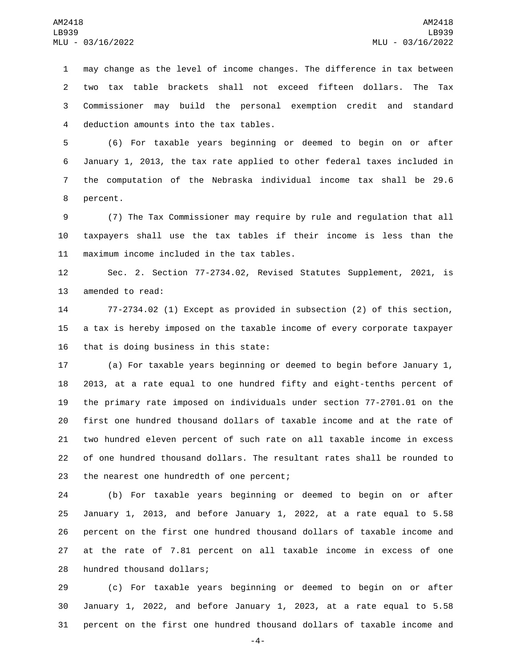may change as the level of income changes. The difference in tax between two tax table brackets shall not exceed fifteen dollars. The Tax Commissioner may build the personal exemption credit and standard 4 deduction amounts into the tax tables.

 (6) For taxable years beginning or deemed to begin on or after January 1, 2013, the tax rate applied to other federal taxes included in the computation of the Nebraska individual income tax shall be 29.6 8 percent.

 (7) The Tax Commissioner may require by rule and regulation that all taxpayers shall use the tax tables if their income is less than the 11 maximum income included in the tax tables.

 Sec. 2. Section 77-2734.02, Revised Statutes Supplement, 2021, is 13 amended to read:

 77-2734.02 (1) Except as provided in subsection (2) of this section, a tax is hereby imposed on the taxable income of every corporate taxpayer 16 that is doing business in this state:

 (a) For taxable years beginning or deemed to begin before January 1, 2013, at a rate equal to one hundred fifty and eight-tenths percent of the primary rate imposed on individuals under section 77-2701.01 on the first one hundred thousand dollars of taxable income and at the rate of two hundred eleven percent of such rate on all taxable income in excess of one hundred thousand dollars. The resultant rates shall be rounded to 23 the nearest one hundredth of one percent;

 (b) For taxable years beginning or deemed to begin on or after January 1, 2013, and before January 1, 2022, at a rate equal to 5.58 percent on the first one hundred thousand dollars of taxable income and at the rate of 7.81 percent on all taxable income in excess of one 28 hundred thousand dollars;

 (c) For taxable years beginning or deemed to begin on or after January 1, 2022, and before January 1, 2023, at a rate equal to 5.58 percent on the first one hundred thousand dollars of taxable income and

-4-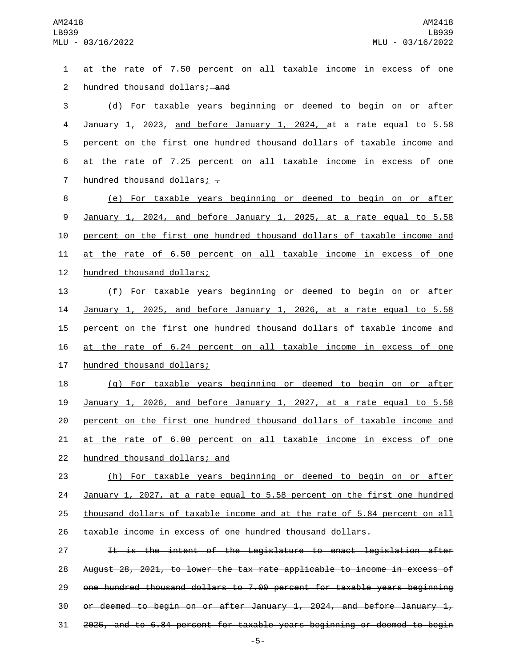at the rate of 7.50 percent on all taxable income in excess of one 2 hundred thousand dollars; and (d) For taxable years beginning or deemed to begin on or after January 1, 2023, and before January 1, 2024, at a rate equal to 5.58 percent on the first one hundred thousand dollars of taxable income and at the rate of 7.25 percent on all taxable income in excess of one 7 hundred thousand dollars;  $\overline{z}$  (e) For taxable years beginning or deemed to begin on or after January 1, 2024, and before January 1, 2025, at a rate equal to 5.58 percent on the first one hundred thousand dollars of taxable income and at the rate of 6.50 percent on all taxable income in excess of one 12 hundred thousand dollars; (f) For taxable years beginning or deemed to begin on or after January 1, 2025, and before January 1, 2026, at a rate equal to 5.58 percent on the first one hundred thousand dollars of taxable income and at the rate of 6.24 percent on all taxable income in excess of one 17 hundred thousand dollars; (g) For taxable years beginning or deemed to begin on or after January 1, 2026, and before January 1, 2027, at a rate equal to 5.58 percent on the first one hundred thousand dollars of taxable income and at the rate of 6.00 percent on all taxable income in excess of one 22 hundred thousand dollars; and (h) For taxable years beginning or deemed to begin on or after January 1, 2027, at a rate equal to 5.58 percent on the first one hundred thousand dollars of taxable income and at the rate of 5.84 percent on all taxable income in excess of one hundred thousand dollars. 27 11 It is the intent of the Legislature to enact legislation after August 28, 2021, to lower the tax rate applicable to income in excess of one hundred thousand dollars to 7.00 percent for taxable years beginning 30 or deemed to begin on or after January 1, 2024, and before January  $1<sub>r</sub>$ 2025, and to 6.84 percent for taxable years beginning or deemed to begin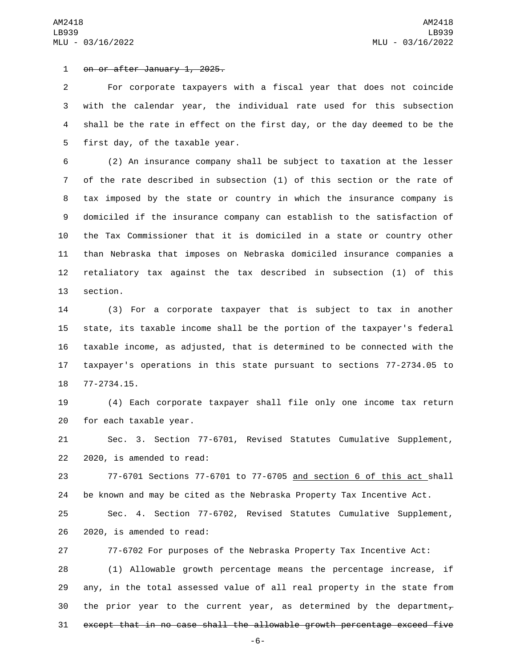1 on or after January 1, 2025.

 For corporate taxpayers with a fiscal year that does not coincide with the calendar year, the individual rate used for this subsection shall be the rate in effect on the first day, or the day deemed to be the 5 first day, of the taxable year.

 (2) An insurance company shall be subject to taxation at the lesser of the rate described in subsection (1) of this section or the rate of tax imposed by the state or country in which the insurance company is domiciled if the insurance company can establish to the satisfaction of the Tax Commissioner that it is domiciled in a state or country other than Nebraska that imposes on Nebraska domiciled insurance companies a retaliatory tax against the tax described in subsection (1) of this 13 section.

 (3) For a corporate taxpayer that is subject to tax in another state, its taxable income shall be the portion of the taxpayer's federal taxable income, as adjusted, that is determined to be connected with the taxpayer's operations in this state pursuant to sections 77-2734.05 to 18 77-2734.15.

 (4) Each corporate taxpayer shall file only one income tax return 20 for each taxable year.

 Sec. 3. Section 77-6701, Revised Statutes Cumulative Supplement,  $2020$ , is amended to read:

 77-6701 Sections 77-6701 to 77-6705 and section 6 of this act shall be known and may be cited as the Nebraska Property Tax Incentive Act. Sec. 4. Section 77-6702, Revised Statutes Cumulative Supplement, 26 2020, is amended to read:

77-6702 For purposes of the Nebraska Property Tax Incentive Act:

 (1) Allowable growth percentage means the percentage increase, if any, in the total assessed value of all real property in the state from 30 the prior year to the current year, as determined by the department<sub> $\tau$ </sub> except that in no case shall the allowable growth percentage exceed five

-6-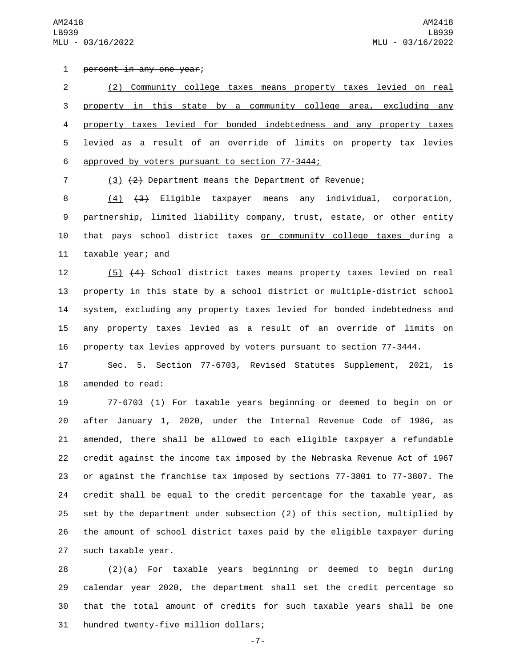AM2418 LB939 MLU - 03/16/2022

1 percent in any one year;

 (2) Community college taxes means property taxes levied on real property in this state by a community college area, excluding any property taxes levied for bonded indebtedness and any property taxes levied as a result of an override of limits on property tax levies 6 approved by voters pursuant to section 77-3444;

(3) (2) Department means the Department of Revenue;

 (4) (3) Eligible taxpayer means any individual, corporation, partnership, limited liability company, trust, estate, or other entity that pays school district taxes or community college taxes during a 11 taxable year; and

 (5) (4) School district taxes means property taxes levied on real property in this state by a school district or multiple-district school system, excluding any property taxes levied for bonded indebtedness and any property taxes levied as a result of an override of limits on property tax levies approved by voters pursuant to section 77-3444.

 Sec. 5. Section 77-6703, Revised Statutes Supplement, 2021, is 18 amended to read:

 77-6703 (1) For taxable years beginning or deemed to begin on or after January 1, 2020, under the Internal Revenue Code of 1986, as amended, there shall be allowed to each eligible taxpayer a refundable credit against the income tax imposed by the Nebraska Revenue Act of 1967 or against the franchise tax imposed by sections 77-3801 to 77-3807. The credit shall be equal to the credit percentage for the taxable year, as set by the department under subsection (2) of this section, multiplied by the amount of school district taxes paid by the eligible taxpayer during 27 such taxable year.

 (2)(a) For taxable years beginning or deemed to begin during calendar year 2020, the department shall set the credit percentage so that the total amount of credits for such taxable years shall be one 31 hundred twenty-five million dollars;

-7-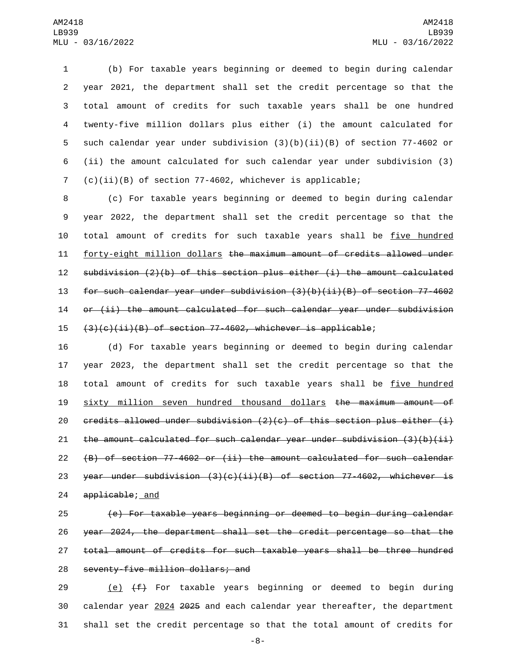(b) For taxable years beginning or deemed to begin during calendar year 2021, the department shall set the credit percentage so that the total amount of credits for such taxable years shall be one hundred twenty-five million dollars plus either (i) the amount calculated for such calendar year under subdivision (3)(b)(ii)(B) of section 77-4602 or (ii) the amount calculated for such calendar year under subdivision (3) (c)(ii)(B) of section 77-4602, whichever is applicable;

 (c) For taxable years beginning or deemed to begin during calendar year 2022, the department shall set the credit percentage so that the total amount of credits for such taxable years shall be five hundred forty-eight million dollars the maximum amount of credits allowed under subdivision (2)(b) of this section plus either (i) the amount calculated for such calendar year under subdivision (3)(b)(ii)(B) of section 77-4602 or (ii) the amount calculated for such calendar year under subdivision  $(3)(c)(ii)(B)$  of section 77-4602, whichever is applicable;

 (d) For taxable years beginning or deemed to begin during calendar year 2023, the department shall set the credit percentage so that the 18 total amount of credits for such taxable years shall be five hundred sixty million seven hundred thousand dollars the maximum amount of 20 credits allowed under subdivision  $(2)(c)$  of this section plus either  $(i)$ 21 the amount calculated for such calendar year under subdivision  $(3)(b)(ii)$  (B) of section 77-4602 or (ii) the amount calculated for such calendar 23 year under subdivision  $(3)(c)(ii)(B)$  of section 77-4602, whichever is 24 applicable; and

 (e) For taxable years beginning or deemed to begin during calendar year 2024, the department shall set the credit percentage so that the total amount of credits for such taxable years shall be three hundred 28 seventy-five million dollars; and

29  $(e)$   $(f)$  For taxable years beginning or deemed to begin during calendar year 2024 2025 and each calendar year thereafter, the department shall set the credit percentage so that the total amount of credits for

-8-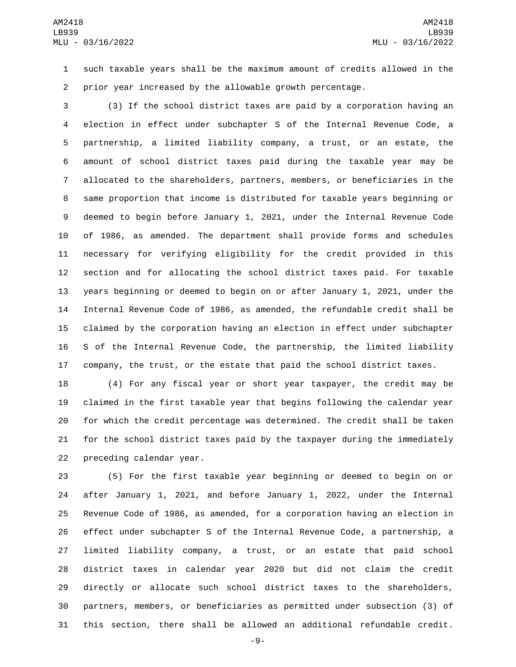such taxable years shall be the maximum amount of credits allowed in the prior year increased by the allowable growth percentage.

 (3) If the school district taxes are paid by a corporation having an election in effect under subchapter S of the Internal Revenue Code, a partnership, a limited liability company, a trust, or an estate, the amount of school district taxes paid during the taxable year may be allocated to the shareholders, partners, members, or beneficiaries in the same proportion that income is distributed for taxable years beginning or deemed to begin before January 1, 2021, under the Internal Revenue Code of 1986, as amended. The department shall provide forms and schedules necessary for verifying eligibility for the credit provided in this section and for allocating the school district taxes paid. For taxable years beginning or deemed to begin on or after January 1, 2021, under the Internal Revenue Code of 1986, as amended, the refundable credit shall be claimed by the corporation having an election in effect under subchapter S of the Internal Revenue Code, the partnership, the limited liability company, the trust, or the estate that paid the school district taxes.

 (4) For any fiscal year or short year taxpayer, the credit may be claimed in the first taxable year that begins following the calendar year for which the credit percentage was determined. The credit shall be taken for the school district taxes paid by the taxpayer during the immediately 22 preceding calendar year.

 (5) For the first taxable year beginning or deemed to begin on or after January 1, 2021, and before January 1, 2022, under the Internal Revenue Code of 1986, as amended, for a corporation having an election in effect under subchapter S of the Internal Revenue Code, a partnership, a limited liability company, a trust, or an estate that paid school district taxes in calendar year 2020 but did not claim the credit directly or allocate such school district taxes to the shareholders, partners, members, or beneficiaries as permitted under subsection (3) of this section, there shall be allowed an additional refundable credit.

-9-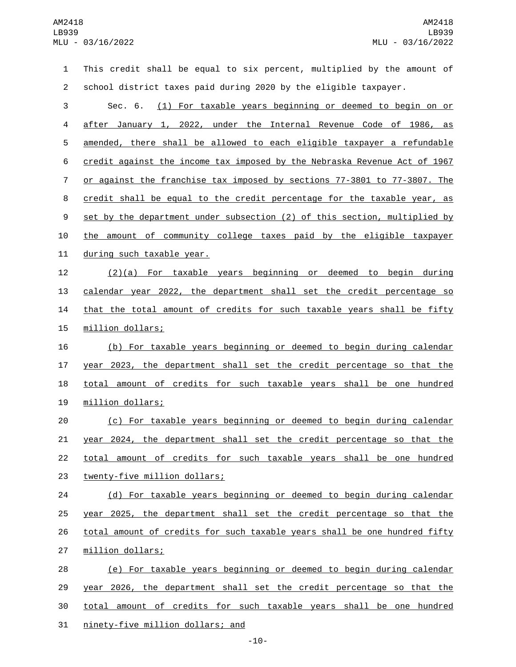This credit shall be equal to six percent, multiplied by the amount of school district taxes paid during 2020 by the eligible taxpayer. Sec. 6. (1) For taxable years beginning or deemed to begin on or after January 1, 2022, under the Internal Revenue Code of 1986, as amended, there shall be allowed to each eligible taxpayer a refundable credit against the income tax imposed by the Nebraska Revenue Act of 1967 or against the franchise tax imposed by sections 77-3801 to 77-3807. The credit shall be equal to the credit percentage for the taxable year, as 9 set by the department under subsection (2) of this section, multiplied by the amount of community college taxes paid by the eligible taxpayer 11 during such taxable year. (2)(a) For taxable years beginning or deemed to begin during calendar year 2022, the department shall set the credit percentage so 14 that the total amount of credits for such taxable years shall be fifty 15 million dollars; (b) For taxable years beginning or deemed to begin during calendar year 2023, the department shall set the credit percentage so that the 18 total amount of credits for such taxable years shall be one hundred 19 million dollars; (c) For taxable years beginning or deemed to begin during calendar year 2024, the department shall set the credit percentage so that the total amount of credits for such taxable years shall be one hundred 23 twenty-five million dollars; (d) For taxable years beginning or deemed to begin during calendar year 2025, the department shall set the credit percentage so that the 26 total amount of credits for such taxable years shall be one hundred fifty 27 million dollars; (e) For taxable years beginning or deemed to begin during calendar year 2026, the department shall set the credit percentage so that the total amount of credits for such taxable years shall be one hundred 31 ninety-five million dollars; and